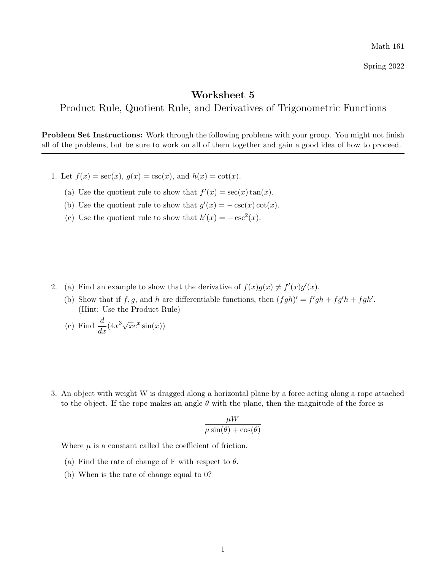Math 161

Spring 2022

## Worksheet 5

Product Rule, Quotient Rule, and Derivatives of Trigonometric Functions

Problem Set Instructions: Work through the following problems with your group. You might not finish all of the problems, but be sure to work on all of them together and gain a good idea of how to proceed.

- 1. Let  $f(x) = \sec(x)$ ,  $g(x) = \csc(x)$ , and  $h(x) = \cot(x)$ .
	- (a) Use the quotient rule to show that  $f'(x) = \sec(x) \tan(x)$ .
	- (b) Use the quotient rule to show that  $g'(x) = -\csc(x)\cot(x)$ .
	- (c) Use the quotient rule to show that  $h'(x) = -\csc^2(x)$ .

- 2. (a) Find an example to show that the derivative of  $f(x)g(x) \neq f'(x)g'(x)$ .
	- (b) Show that if f, g, and h are differentiable functions, then  $(fgh)' = f'gh + fg'h + fgh'$ . (Hint: Use the Product Rule)
	- (c) Find  $\frac{d}{dx}(4x)$  $\sqrt{x}e^x \sin(x)$
- 3. An object with weight W is dragged along a horizontal plane by a force acting along a rope attached to the object. If the rope makes an angle  $\theta$  with the plane, then the magnitude of the force is

$$
\frac{\mu W}{\mu \sin(\theta) + \cos(\theta)}
$$

Where  $\mu$  is a constant called the coefficient of friction.

- (a) Find the rate of change of F with respect to  $\theta$ .
- (b) When is the rate of change equal to 0?